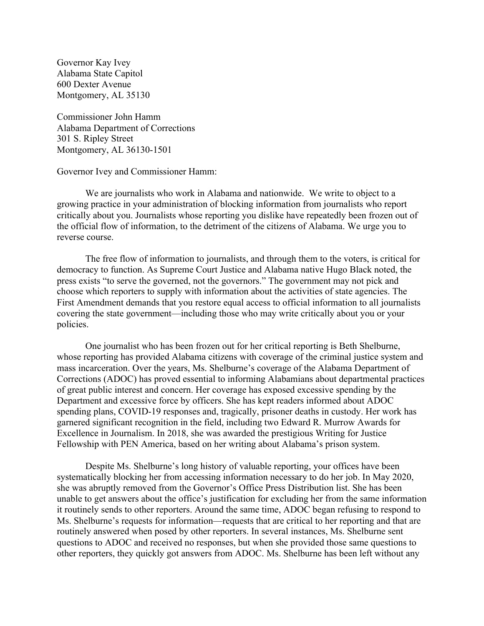Governor Kay Ivey Alabama State Capitol 600 Dexter Avenue Montgomery, AL 35130

Commissioner John Hamm Alabama Department of Corrections 301 S. Ripley Street Montgomery, AL 36130-1501

Governor Ivey and Commissioner Hamm:

We are journalists who work in Alabama and nationwide. We write to object to a growing practice in your administration of blocking information from journalists who report critically about you. Journalists whose reporting you dislike have repeatedly been frozen out of the official flow of information, to the detriment of the citizens of Alabama. We urge you to reverse course.

The free flow of information to journalists, and through them to the voters, is critical for democracy to function. As Supreme Court Justice and Alabama native Hugo Black noted, the press exists "to serve the governed, not the governors." The government may not pick and choose which reporters to supply with information about the activities of state agencies. The First Amendment demands that you restore equal access to official information to all journalists covering the state government—including those who may write critically about you or your policies.

One journalist who has been frozen out for her critical reporting is Beth Shelburne, whose reporting has provided Alabama citizens with coverage of the criminal justice system and mass incarceration. Over the years, Ms. Shelburne's coverage of the Alabama Department of Corrections (ADOC) has proved essential to informing Alabamians about departmental practices of great public interest and concern. Her coverage has exposed excessive spending by the Department and excessive force by officers. She has kept readers informed about ADOC spending plans, COVID-19 responses and, tragically, prisoner deaths in custody. Her work has garnered significant recognition in the field, including two Edward R. Murrow Awards for Excellence in Journalism. In 2018, she was awarded the prestigious Writing for Justice Fellowship with PEN America, based on her writing about Alabama's prison system.

Despite Ms. Shelburne's long history of valuable reporting, your offices have been systematically blocking her from accessing information necessary to do her job. In May 2020, she was abruptly removed from the Governor's Office Press Distribution list. She has been unable to get answers about the office's justification for excluding her from the same information it routinely sends to other reporters. Around the same time, ADOC began refusing to respond to Ms. Shelburne's requests for information—requests that are critical to her reporting and that are routinely answered when posed by other reporters. In several instances, Ms. Shelburne sent questions to ADOC and received no responses, but when she provided those same questions to other reporters, they quickly got answers from ADOC. Ms. Shelburne has been left without any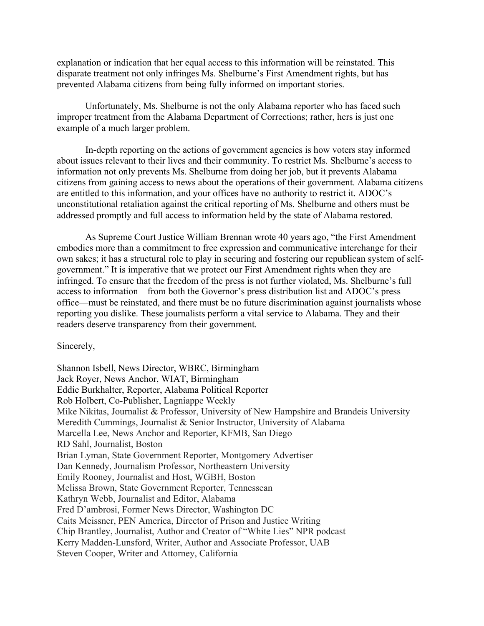explanation or indication that her equal access to this information will be reinstated. This disparate treatment not only infringes Ms. Shelburne's First Amendment rights, but has prevented Alabama citizens from being fully informed on important stories.

Unfortunately, Ms. Shelburne is not the only Alabama reporter who has faced such improper treatment from the Alabama Department of Corrections; rather, hers is just one example of a much larger problem.

In-depth reporting on the actions of government agencies is how voters stay informed about issues relevant to their lives and their community. To restrict Ms. Shelburne's access to information not only prevents Ms. Shelburne from doing her job, but it prevents Alabama citizens from gaining access to news about the operations of their government. Alabama citizens are entitled to this information, and your offices have no authority to restrict it. ADOC's unconstitutional retaliation against the critical reporting of Ms. Shelburne and others must be addressed promptly and full access to information held by the state of Alabama restored.

As Supreme Court Justice William Brennan wrote 40 years ago, "the First Amendment embodies more than a commitment to free expression and communicative interchange for their own sakes; it has a structural role to play in securing and fostering our republican system of selfgovernment." It is imperative that we protect our First Amendment rights when they are infringed. To ensure that the freedom of the press is not further violated, Ms. Shelburne's full access to information—from both the Governor's press distribution list and ADOC's press office—must be reinstated, and there must be no future discrimination against journalists whose reporting you dislike. These journalists perform a vital service to Alabama. They and their readers deserve transparency from their government.

Sincerely,

Shannon Isbell, News Director, WBRC, Birmingham Jack Royer, News Anchor, WIAT, Birmingham Eddie Burkhalter, Reporter, Alabama Political Reporter Rob Holbert, Co-Publisher, Lagniappe Weekly Mike Nikitas, Journalist & Professor, University of New Hampshire and Brandeis University Meredith Cummings, Journalist & Senior Instructor, University of Alabama Marcella Lee, News Anchor and Reporter, KFMB, San Diego RD Sahl, Journalist, Boston Brian Lyman, State Government Reporter, Montgomery Advertiser Dan Kennedy, Journalism Professor, Northeastern University Emily Rooney, Journalist and Host, WGBH, Boston Melissa Brown, State Government Reporter, Tennessean Kathryn Webb, Journalist and Editor, Alabama Fred D'ambrosi, Former News Director, Washington DC Caits Meissner, PEN America, Director of Prison and Justice Writing Chip Brantley, Journalist, Author and Creator of "White Lies" NPR podcast Kerry Madden-Lunsford, Writer, Author and Associate Professor, UAB Steven Cooper, Writer and Attorney, California